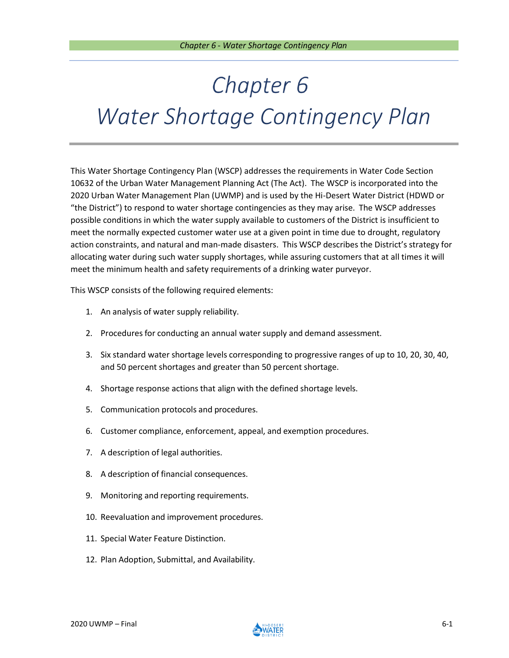This Water Shortage Contingency Plan (WSCP) addresses the requirements in Water Code Section 10632 of the Urban Water Management Planning Act (The Act). The WSCP is incorporated into the 2020 Urban Water Management Plan (UWMP) and is used by the Hi-Desert Water District (HDWD or "the District") to respond to water shortage contingencies as they may arise. The WSCP addresses possible conditions in which the water supply available to customers of the District is insufficient to meet the normally expected customer water use at a given point in time due to drought, regulatory action constraints, and natural and man-made disasters. This WSCP describes the District's strategy for allocating water during such water supply shortages, while assuring customers that at all times it will meet the minimum health and safety requirements of a drinking water purveyor.

This WSCP consists of the following required elements:

- 1. An analysis of water supply reliability.
- 2. Procedures for conducting an annual water supply and demand assessment.
- 3. Six standard water shortage levels corresponding to progressive ranges of up to 10, 20, 30, 40, and 50 percent shortages and greater than 50 percent shortage.
- 4. Shortage response actions that align with the defined shortage levels.
- 5. Communication protocols and procedures.
- 6. Customer compliance, enforcement, appeal, and exemption procedures.
- 7. A description of legal authorities.
- 8. A description of financial consequences.
- 9. Monitoring and reporting requirements.
- 10. Reevaluation and improvement procedures.
- 11. Special Water Feature Distinction.
- 12. Plan Adoption, Submittal, and Availability.

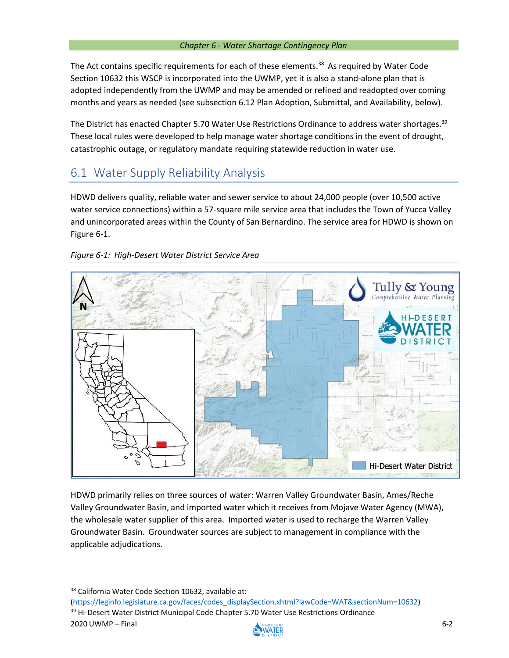The Act contains specific requirements for each of these elements.<sup>38</sup> As required by Water Code Section 10632 this WSCP is incorporated into the UWMP, yet it is also a stand-alone plan that is adopted independently from the UWMP and may be amended or refined and readopted over coming months and years as needed (see subsection 6.12 Plan Adoption, Submittal, and Availability, below).

The District has enacted Chapter 5.70 Water Use Restrictions Ordinance to address water shortages.<sup>39</sup> These local rules were developed to help manage water shortage conditions in the event of drought, catastrophic outage, or regulatory mandate requiring statewide reduction in water use.

# 6.1 Water Supply Reliability Analysis

HDWD delivers quality, reliable water and sewer service to about 24,000 people (over 10,500 active water service connections) within a 57-square mile service area that includes the Town of Yucca Valley and unincorporated areas within the County of San Bernardino. The service area for HDWD is shown on Figure 6-1.





HDWD primarily relies on three sources of water: Warren Valley Groundwater Basin, Ames/Reche Valley Groundwater Basin, and imported water which it receives from Mojave Water Agency (MWA), the wholesale water supplier of this area. Imported water is used to recharge the Warren Valley Groundwater Basin. Groundwater sources are subject to management in compliance with the applicable adjudications.

2020 UWMP – Final 6-2 [\(https://leginfo.legislature.ca.gov/faces/codes\\_displaySection.xhtml?lawCode=WAT&sectionNum=10632\)](https://leginfo.legislature.ca.gov/faces/codes_displaySection.xhtml?lawCode=WAT§ionNum=10632) <sup>39</sup> Hi-Desert Water District Municipal Code Chapter 5.70 Water Use Restrictions Ordinance



<sup>38</sup> California Water Code Section 10632, available at: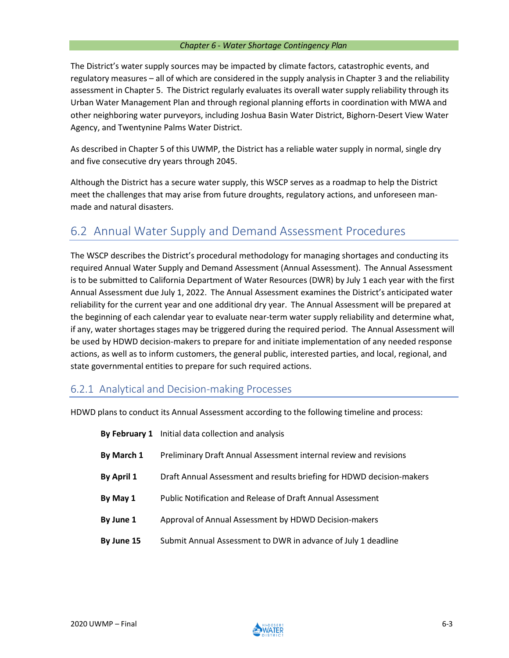The District's water supply sources may be impacted by climate factors, catastrophic events, and regulatory measures – all of which are considered in the supply analysis in Chapter 3 and the reliability assessment in Chapter 5. The District regularly evaluates its overall water supply reliability through its Urban Water Management Plan and through regional planning efforts in coordination with MWA and other neighboring water purveyors, including Joshua Basin Water District, Bighorn-Desert View Water Agency, and Twentynine Palms Water District.

As described in Chapter 5 of this UWMP, the District has a reliable water supply in normal, single dry and five consecutive dry years through 2045.

Although the District has a secure water supply, this WSCP serves as a roadmap to help the District meet the challenges that may arise from future droughts, regulatory actions, and unforeseen manmade and natural disasters.

# 6.2 Annual Water Supply and Demand Assessment Procedures

The WSCP describes the District's procedural methodology for managing shortages and conducting its required Annual Water Supply and Demand Assessment (Annual Assessment). The Annual Assessment is to be submitted to California Department of Water Resources (DWR) by July 1 each year with the first Annual Assessment due July 1, 2022. The Annual Assessment examines the District's anticipated water reliability for the current year and one additional dry year. The Annual Assessment will be prepared at the beginning of each calendar year to evaluate near-term water supply reliability and determine what, if any, water shortages stages may be triggered during the required period. The Annual Assessment will be used by HDWD decision-makers to prepare for and initiate implementation of any needed response actions, as well as to inform customers, the general public, interested parties, and local, regional, and state governmental entities to prepare for such required actions.

## 6.2.1 Analytical and Decision-making Processes

HDWD plans to conduct its Annual Assessment according to the following timeline and process:

|            | By February 1 Initial data collection and analysis                    |
|------------|-----------------------------------------------------------------------|
| By March 1 | Preliminary Draft Annual Assessment internal review and revisions     |
| By April 1 | Draft Annual Assessment and results briefing for HDWD decision-makers |
| By May 1   | <b>Public Notification and Release of Draft Annual Assessment</b>     |
| By June 1  | Approval of Annual Assessment by HDWD Decision-makers                 |
| By June 15 | Submit Annual Assessment to DWR in advance of July 1 deadline         |

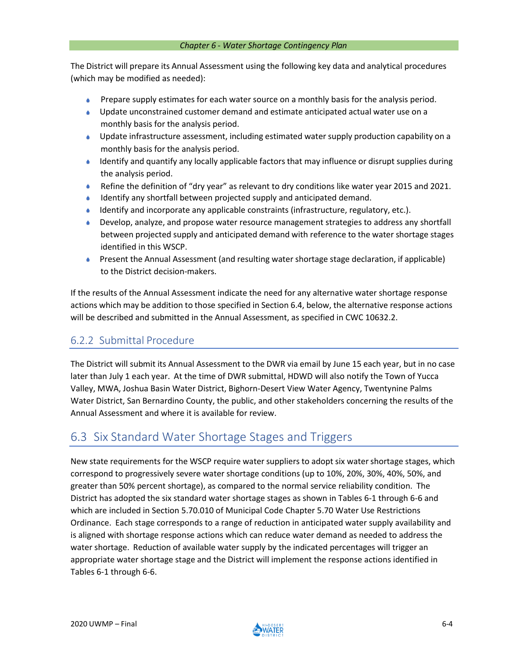The District will prepare its Annual Assessment using the following key data and analytical procedures (which may be modified as needed):

- A. Prepare supply estimates for each water source on a monthly basis for the analysis period.
- Update unconstrained customer demand and estimate anticipated actual water use on a monthly basis for the analysis period.
- **Update infrastructure assessment, including estimated water supply production capability on a** monthly basis for the analysis period.
- $\bullet$  Identify and quantify any locally applicable factors that may influence or disrupt supplies during the analysis period.
- Refine the definition of "dry year" as relevant to dry conditions like water year 2015 and 2021.
- Identify any shortfall between projected supply and anticipated demand.
- Identify and incorporate any applicable constraints (infrastructure, regulatory, etc.).
- Develop, analyze, and propose water resource management strategies to address any shortfall between projected supply and anticipated demand with reference to the water shortage stages identified in this WSCP.
- Present the Annual Assessment (and resulting water shortage stage declaration, if applicable)  $\triangle$ to the District decision-makers.

If the results of the Annual Assessment indicate the need for any alternative water shortage response actions which may be addition to those specified in Section 6.4, below, the alternative response actions will be described and submitted in the Annual Assessment, as specified in CWC 10632.2.

## 6.2.2 Submittal Procedure

The District will submit its Annual Assessment to the DWR via email by June 15 each year, but in no case later than July 1 each year. At the time of DWR submittal, HDWD will also notify the Town of Yucca Valley, MWA, Joshua Basin Water District, Bighorn-Desert View Water Agency, Twentynine Palms Water District, San Bernardino County, the public, and other stakeholders concerning the results of the Annual Assessment and where it is available for review.

## 6.3 Six Standard Water Shortage Stages and Triggers

New state requirements for the WSCP require water suppliers to adopt six watershortage stages, which correspond to progressively severe water shortage conditions (up to 10%, 20%, 30%, 40%, 50%, and greater than 50% percent shortage), as compared to the normal service reliability condition. The District has adopted the six standard water shortage stages as shown in Tables 6-1 through 6-6 and which are included in Section 5.70.010 of Municipal Code Chapter 5.70 Water Use Restrictions Ordinance. Each stage corresponds to a range of reduction in anticipated water supply availability and is aligned with shortage response actions which can reduce water demand as needed to address the water shortage. Reduction of available water supply by the indicated percentages will trigger an appropriate water shortage stage and the District will implement the response actions identified in Tables 6-1 through 6-6.

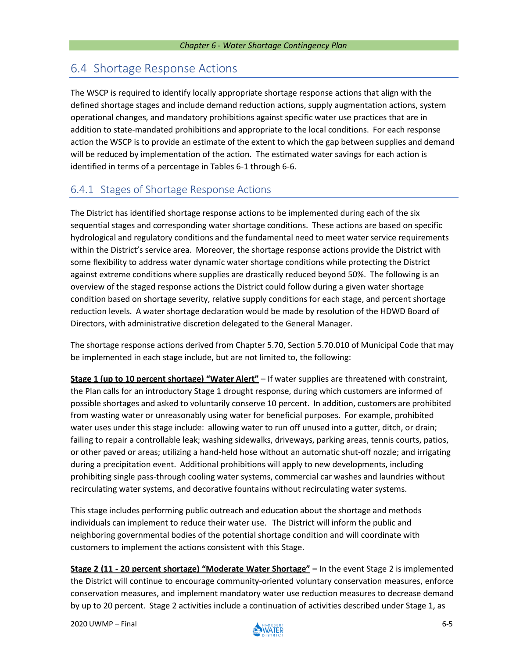# 6.4 Shortage Response Actions

The WSCP is required to identify locally appropriate shortage response actions that align with the defined shortage stages and include demand reduction actions, supply augmentation actions, system operational changes, and mandatory prohibitions against specific water use practices that are in addition to state-mandated prohibitions and appropriate to the local conditions. For each response action the WSCP is to provide an estimate of the extent to which the gap between supplies and demand will be reduced by implementation of the action. The estimated water savings for each action is identified in terms of a percentage in Tables 6-1 through 6-6.

## 6.4.1 Stages of Shortage Response Actions

The District has identified shortage response actions to be implemented during each of the six sequential stages and corresponding water shortage conditions. These actions are based on specific hydrological and regulatory conditions and the fundamental need to meet water service requirements within the District's service area. Moreover, the shortage response actions provide the District with some flexibility to address water dynamic water shortage conditions while protecting the District against extreme conditions where supplies are drastically reduced beyond 50%. The following is an overview of the staged response actions the District could follow during a given water shortage condition based on shortage severity, relative supply conditions for each stage, and percent shortage reduction levels. A water shortage declaration would be made by resolution of the HDWD Board of Directors, with administrative discretion delegated to the General Manager.

The shortage response actions derived from Chapter 5.70, Section 5.70.010 of Municipal Code that may be implemented in each stage include, but are not limited to, the following:

**Stage 1 (up to 10 percent shortage) "Water Alert"** – If water supplies are threatened with constraint, the Plan calls for an introductory Stage 1 drought response, during which customers are informed of possible shortages and asked to voluntarily conserve 10 percent. In addition, customers are prohibited from wasting water or unreasonably using water for beneficial purposes. For example, prohibited water uses under this stage include: allowing water to run off unused into a gutter, ditch, or drain; failing to repair a controllable leak; washing sidewalks, driveways, parking areas, tennis courts, patios, or other paved or areas; utilizing a hand-held hose without an automatic shut-off nozzle; and irrigating during a precipitation event. Additional prohibitions will apply to new developments, including prohibiting single pass-through cooling water systems, commercial car washes and laundries without recirculating water systems, and decorative fountains without recirculating water systems.

Thisstage includes performing public outreach and education about the shortage and methods individuals can implement to reduce their water use. The District will inform the public and neighboring governmental bodies of the potential shortage condition and will coordinate with customers to implement the actions consistent with this Stage.

**Stage 2 (11 - 20 percent shortage) "Moderate Water Shortage" –** In the event Stage 2 is implemented the District will continue to encourage community-oriented voluntary conservation measures, enforce conservation measures, and implement mandatory water use reduction measures to decrease demand by up to 20 percent. Stage 2 activities include a continuation of activities described under Stage 1, as

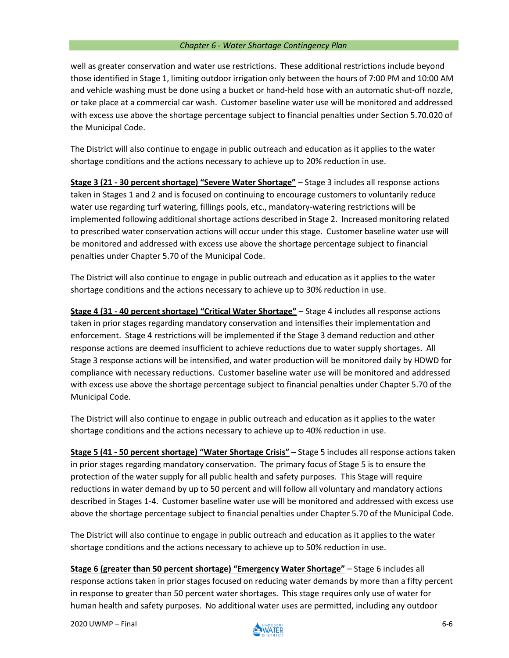well as greater conservation and water use restrictions. These additional restrictions include beyond those identified in Stage 1, limiting outdoor irrigation only between the hours of 7:00 PM and 10:00 AM and vehicle washing must be done using a bucket or hand-held hose with an automatic shut-off nozzle, or take place at a commercial car wash. Customer baseline water use will be monitored and addressed with excess use above the shortage percentage subject to financial penalties under Section 5.70.020 of the Municipal Code.

The District will also continue to engage in public outreach and education as it applies to the water shortage conditions and the actions necessary to achieve up to 20% reduction in use.

**Stage 3 (21 - 30 percent shortage) "Severe Water Shortage"** – Stage 3 includes all response actions taken in Stages 1 and 2 and is focused on continuing to encourage customers to voluntarily reduce water use regarding turf watering, fillings pools, etc., mandatory-watering restrictions will be implemented following additional shortage actions described in Stage 2. Increased monitoring related to prescribed water conservation actions will occur under this stage. Customer baseline water use will be monitored and addressed with excess use above the shortage percentage subject to financial penalties under Chapter 5.70 of the Municipal Code.

The District will also continue to engage in public outreach and education as it applies to the water shortage conditions and the actions necessary to achieve up to 30% reduction in use.

**Stage 4 (31 - 40 percent shortage) "Critical Water Shortage"** – Stage 4 includes all response actions taken in prior stages regarding mandatory conservation and intensifies their implementation and enforcement. Stage 4 restrictions will be implemented if the Stage 3 demand reduction and other response actions are deemed insufficient to achieve reductions due to water supply shortages. All Stage 3 response actions will be intensified, and water production will be monitored daily by HDWD for compliance with necessary reductions. Customer baseline water use will be monitored and addressed with excess use above the shortage percentage subject to financial penalties under Chapter 5.70 of the Municipal Code.

The District will also continue to engage in public outreach and education as it applies to the water shortage conditions and the actions necessary to achieve up to 40% reduction in use.

**Stage 5 (41 - 50 percent shortage) "Water Shortage Crisis"** – Stage 5 includes all response actions taken in prior stages regarding mandatory conservation. The primary focus of Stage 5 is to ensure the protection of the water supply for all public health and safety purposes. This Stage will require reductions in water demand by up to 50 percent and will follow all voluntary and mandatory actions described in Stages 1-4. Customer baseline water use will be monitored and addressed with excess use above the shortage percentage subject to financial penalties under Chapter 5.70 of the Municipal Code.

The District will also continue to engage in public outreach and education as it applies to the water shortage conditions and the actions necessary to achieve up to 50% reduction in use.

**Stage 6 (greater than 50 percent shortage) "Emergency Water Shortage"** – Stage 6 includes all response actions taken in prior stages focused on reducing water demands by more than a fifty percent in response to greater than 50 percent water shortages. This stage requires only use of water for human health and safety purposes. No additional water uses are permitted, including any outdoor

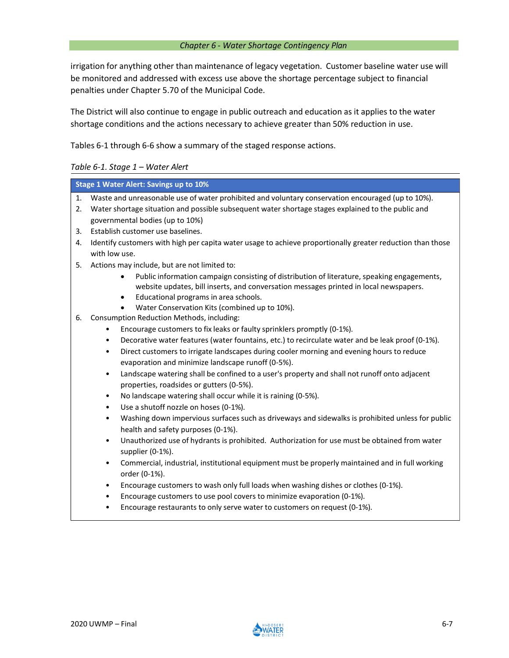irrigation for anything other than maintenance of legacy vegetation. Customer baseline water use will be monitored and addressed with excess use above the shortage percentage subject to financial penalties under Chapter 5.70 of the Municipal Code.

The District will also continue to engage in public outreach and education as it applies to the water shortage conditions and the actions necessary to achieve greater than 50% reduction in use.

Tables 6-1 through 6-6 show a summary of the staged response actions.

## *Table 6-1. Stage 1 – Water Alert*

| <b>Stage 1 Water Alert: Savings up to 10%</b> |                                                                                                               |  |  |  |  |  |  |  |  |
|-----------------------------------------------|---------------------------------------------------------------------------------------------------------------|--|--|--|--|--|--|--|--|
| 1.                                            | Waste and unreasonable use of water prohibited and voluntary conservation encouraged (up to 10%).             |  |  |  |  |  |  |  |  |
| 2.                                            | Water shortage situation and possible subsequent water shortage stages explained to the public and            |  |  |  |  |  |  |  |  |
|                                               | governmental bodies (up to 10%)                                                                               |  |  |  |  |  |  |  |  |
| 3.                                            | Establish customer use baselines.                                                                             |  |  |  |  |  |  |  |  |
| 4.                                            | Identify customers with high per capita water usage to achieve proportionally greater reduction than those    |  |  |  |  |  |  |  |  |
|                                               | with low use.                                                                                                 |  |  |  |  |  |  |  |  |
| 5.                                            | Actions may include, but are not limited to:                                                                  |  |  |  |  |  |  |  |  |
|                                               | Public information campaign consisting of distribution of literature, speaking engagements,<br>$\bullet$      |  |  |  |  |  |  |  |  |
|                                               | website updates, bill inserts, and conversation messages printed in local newspapers.                         |  |  |  |  |  |  |  |  |
|                                               | Educational programs in area schools.<br>$\bullet$                                                            |  |  |  |  |  |  |  |  |
|                                               | Water Conservation Kits (combined up to 10%).                                                                 |  |  |  |  |  |  |  |  |
| 6.                                            | Consumption Reduction Methods, including:                                                                     |  |  |  |  |  |  |  |  |
|                                               | Encourage customers to fix leaks or faulty sprinklers promptly (0-1%).                                        |  |  |  |  |  |  |  |  |
|                                               | Decorative water features (water fountains, etc.) to recirculate water and be leak proof (0-1%).<br>$\bullet$ |  |  |  |  |  |  |  |  |
|                                               | Direct customers to irrigate landscapes during cooler morning and evening hours to reduce<br>$\bullet$        |  |  |  |  |  |  |  |  |
|                                               | evaporation and minimize landscape runoff (0-5%).                                                             |  |  |  |  |  |  |  |  |
|                                               | Landscape watering shall be confined to a user's property and shall not runoff onto adjacent<br>$\bullet$     |  |  |  |  |  |  |  |  |
|                                               | properties, roadsides or gutters (0-5%).                                                                      |  |  |  |  |  |  |  |  |
|                                               | No landscape watering shall occur while it is raining (0-5%).<br>$\bullet$                                    |  |  |  |  |  |  |  |  |
|                                               | Use a shutoff nozzle on hoses (0-1%).<br>$\bullet$                                                            |  |  |  |  |  |  |  |  |
|                                               | Washing down impervious surfaces such as driveways and sidewalks is prohibited unless for public<br>$\bullet$ |  |  |  |  |  |  |  |  |
|                                               | health and safety purposes (0-1%).                                                                            |  |  |  |  |  |  |  |  |
|                                               | Unauthorized use of hydrants is prohibited. Authorization for use must be obtained from water<br>$\bullet$    |  |  |  |  |  |  |  |  |
|                                               | supplier (0-1%).                                                                                              |  |  |  |  |  |  |  |  |
|                                               | Commercial, industrial, institutional equipment must be properly maintained and in full working<br>$\bullet$  |  |  |  |  |  |  |  |  |
|                                               | order (0-1%).                                                                                                 |  |  |  |  |  |  |  |  |
|                                               | Encourage customers to wash only full loads when washing dishes or clothes (0-1%).<br>$\bullet$               |  |  |  |  |  |  |  |  |
|                                               | Encourage customers to use pool covers to minimize evaporation (0-1%).                                        |  |  |  |  |  |  |  |  |
|                                               | Encourage restaurants to only serve water to customers on request (0-1%).<br>$\bullet$                        |  |  |  |  |  |  |  |  |
|                                               |                                                                                                               |  |  |  |  |  |  |  |  |

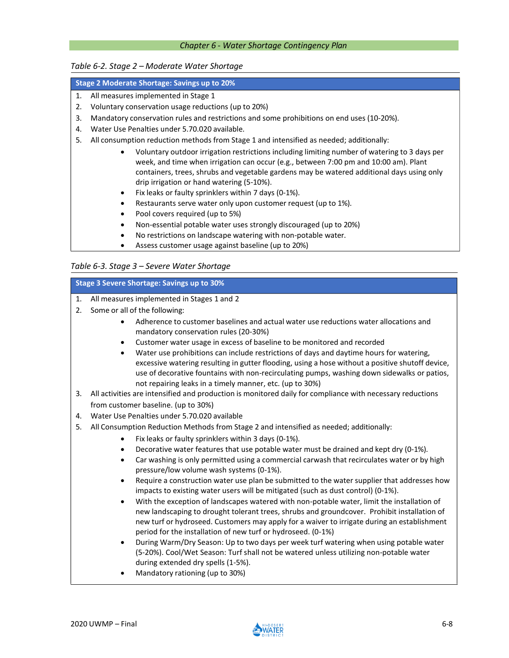#### *Table 6-2. Stage 2 – Moderate Water Shortage*

## **Stage 2 Moderate Shortage: Savings up to 20%**

- 1. All measures implemented in Stage 1
- 2. Voluntary conservation usage reductions (up to 20%)
- 3. Mandatory conservation rules and restrictions and some prohibitions on end uses (10-20%).
- 4. Water Use Penalties under 5.70.020 available.
- 5. All consumption reduction methods from Stage 1 and intensified as needed; additionally:
	- Voluntary outdoor irrigation restrictions including limiting number of watering to 3 days per week, and time when irrigation can occur (e.g., between 7:00 pm and 10:00 am). Plant containers, trees, shrubs and vegetable gardens may be watered additional days using only drip irrigation or hand watering (5-10%).
	- Fix leaks or faulty sprinklers within 7 days (0-1%).
	- Restaurants serve water only upon customer request (up to 1%).
	- Pool covers required (up to 5%)
	- Non-essential potable water uses strongly discouraged (up to 20%)
	- No restrictions on landscape watering with non-potable water.
	- Assess customer usage against baseline (up to 20%)

## *Table 6-3. Stage 3 – Severe Water Shortage*

#### **Stage 3 Severe Shortage: Savings up to 30%**

- 1. All measures implemented in Stages 1 and 2
- 2. Some or all of the following:
	- Adherence to customer baselines and actual water use reductions water allocations and mandatory conservation rules (20-30%)
	- Customer water usage in excess of baseline to be monitored and recorded
	- Water use prohibitions can include restrictions of days and daytime hours for watering, excessive watering resulting in gutter flooding, using a hose without a positive shutoff device, use of decorative fountains with non-recirculating pumps, washing down sidewalks or patios, not repairing leaks in a timely manner, etc. (up to 30%)
- 3. All activities are intensified and production is monitored daily for compliance with necessary reductions from customer baseline. (up to 30%)
- 4. Water Use Penalties under 5.70.020 available
- 5. All Consumption Reduction Methods from Stage 2 and intensified as needed; additionally:
	- Fix leaks or faulty sprinklers within 3 days (0-1%).
	- Decorative water features that use potable water must be drained and kept dry (0-1%).
	- Car washing is only permitted using a commercial carwash that recirculates water or by high pressure/low volume wash systems (0-1%).
	- Require a construction water use plan be submitted to the water supplier that addresses how impacts to existing water users will be mitigated (such as dust control) (0-1%).
	- With the exception of landscapes watered with non-potable water, limit the installation of new landscaping to drought tolerant trees, shrubs and groundcover. Prohibit installation of new turf or hydroseed. Customers may apply for a waiver to irrigate during an establishment period for the installation of new turf or hydroseed. (0-1%)
	- During Warm/Dry Season: Up to two days per week turf watering when using potable water (5-20%). Cool/Wet Season: Turf shall not be watered unless utilizing non-potable water during extended dry spells (1-5%).
	- Mandatory rationing (up to 30%)

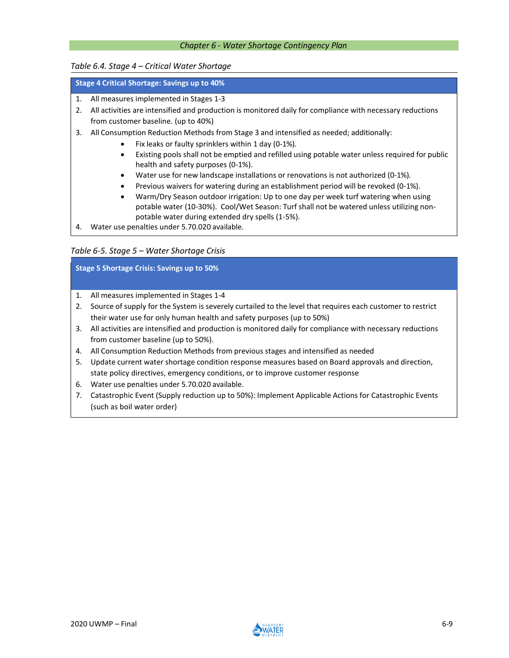## *Table 6.4. Stage 4 – Critical Water Shortage*

## **Stage 4 Critical Shortage: Savings up to 40%**

- 1. All measures implemented in Stages 1-3
- 2. All activities are intensified and production is monitored daily for compliance with necessary reductions from customer baseline. (up to 40%)
- 3. All Consumption Reduction Methods from Stage 3 and intensified as needed; additionally:
	- Fix leaks or faulty sprinklers within 1 day (0-1%).
	- Existing pools shall not be emptied and refilled using potable water unless required for public health and safety purposes (0-1%).
	- Water use for new landscape installations or renovations is not authorized (0-1%).
	- Previous waivers for watering during an establishment period will be revoked (0-1%).
	- Warm/Dry Season outdoor irrigation: Up to one day per week turf watering when using potable water (10-30%). Cool/Wet Season: Turf shall not be watered unless utilizing nonpotable water during extended dry spells (1-5%).
- 4. Water use penalties under 5.70.020 available.

## *Table 6-5. Stage 5 – Water Shortage Crisis*

**Stage 5 Shortage Crisis: Savings up to 50%**

- 1. All measures implemented in Stages 1-4
- 2. Source of supply for the System is severely curtailed to the level that requires each customer to restrict their water use for only human health and safety purposes (up to 50%)
- 3. All activities are intensified and production is monitored daily for compliance with necessary reductions from customer baseline (up to 50%).
- 4. All Consumption Reduction Methods from previous stages and intensified as needed
- 5. Update current water shortage condition response measures based on Board approvals and direction, state policy directives, emergency conditions, or to improve customer response
- 6. Water use penalties under 5.70.020 available.
- 7. Catastrophic Event (Supply reduction up to 50%): Implement Applicable Actions for Catastrophic Events (such as boil water order)

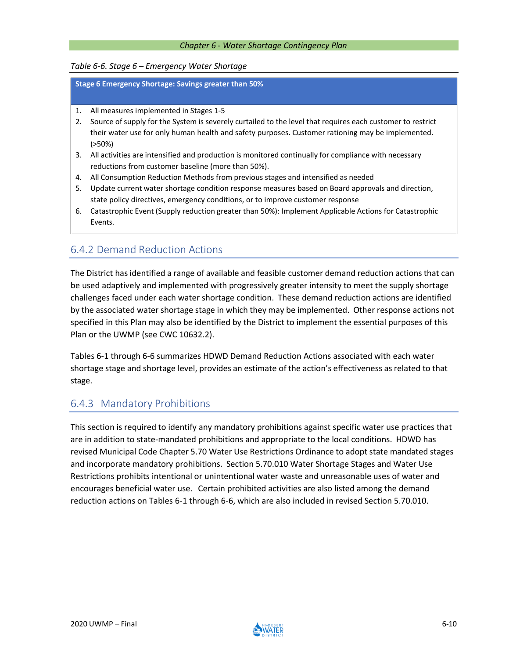## *Table 6-6. Stage 6 – Emergency Water Shortage*

**Stage 6 Emergency Shortage: Savings greater than 50%**

- 1. All measures implemented in Stages 1-5
- 2. Source of supply for the System is severely curtailed to the level that requires each customer to restrict their water use for only human health and safety purposes. Customer rationing may be implemented. (>50%)
- 3. All activities are intensified and production is monitored continually for compliance with necessary reductions from customer baseline (more than 50%).
- 4. All Consumption Reduction Methods from previous stages and intensified as needed
- 5. Update current water shortage condition response measures based on Board approvals and direction, state policy directives, emergency conditions, or to improve customer response
- 6. Catastrophic Event (Supply reduction greater than 50%): Implement Applicable Actions for Catastrophic Events.

## 6.4.2 Demand Reduction Actions

The District hasidentified a range of available and feasible customer demand reduction actions that can be used adaptively and implemented with progressively greater intensity to meet the supply shortage challenges faced under each water shortage condition. These demand reduction actions are identified by the associated water shortage stage in which they may be implemented. Other response actions not specified in this Plan may also be identified by the District to implement the essential purposes of this Plan or the UWMP (see CWC 10632.2).

Tables 6-1 through 6-6 summarizes HDWD Demand Reduction Actions associated with each water shortage stage and shortage level, provides an estimate of the action's effectiveness as related to that stage.

## 6.4.3 Mandatory Prohibitions

This section is required to identify any mandatory prohibitions against specific water use practices that are in addition to state-mandated prohibitions and appropriate to the local conditions. HDWD has revised Municipal Code Chapter 5.70 Water Use Restrictions Ordinance to adopt state mandated stages and incorporate mandatory prohibitions. Section 5.70.010 Water Shortage Stages and Water Use Restrictions prohibits intentional or unintentional water waste and unreasonable uses of water and encourages beneficial water use. Certain prohibited activities are also listed among the demand reduction actions on Tables 6-1 through 6-6, which are also included in revised Section 5.70.010.

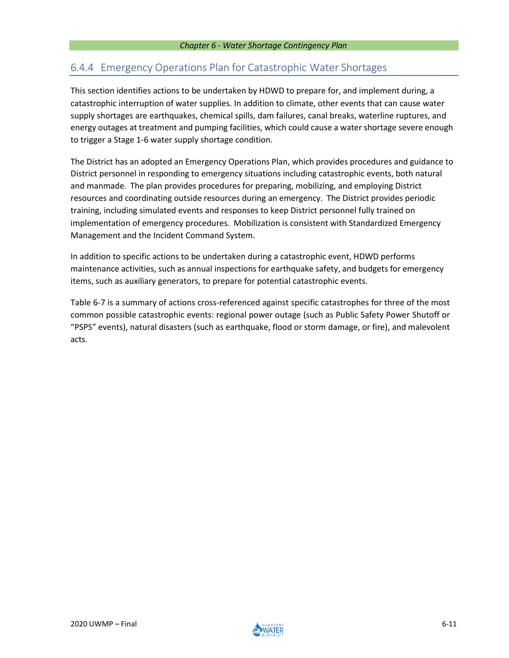## 6.4.4 Emergency Operations Plan for Catastrophic Water Shortages

This section identifies actions to be undertaken by HDWD to prepare for, and implement during, a catastrophic interruption of water supplies. In addition to climate, other events that can cause water supply shortages are earthquakes, chemical spills, dam failures, canal breaks, waterline ruptures, and energy outages at treatment and pumping facilities, which could cause a water shortage severe enough to trigger a Stage 1-6 water supply shortage condition.

The District has an adopted an Emergency Operations Plan, which provides procedures and guidance to District personnel in responding to emergency situations including catastrophic events, both natural and manmade. The plan provides procedures for preparing, mobilizing, and employing District resources and coordinating outside resources during an emergency. The District provides periodic training, including simulated events and responses to keep District personnel fully trained on implementation of emergency procedures. Mobilization is consistent with Standardized Emergency Management and the Incident Command System.

In addition to specific actions to be undertaken during a catastrophic event, HDWD performs maintenance activities, such as annual inspections for earthquake safety, and budgets for emergency items, such as auxiliary generators, to prepare for potential catastrophic events.

Table 6-7 is a summary of actions cross-referenced against specific catastrophes for three of the most common possible catastrophic events: regional power outage (such as Public Safety Power Shutoff or "PSPS" events), natural disasters (such as earthquake, flood or storm damage, or fire), and malevolent acts.

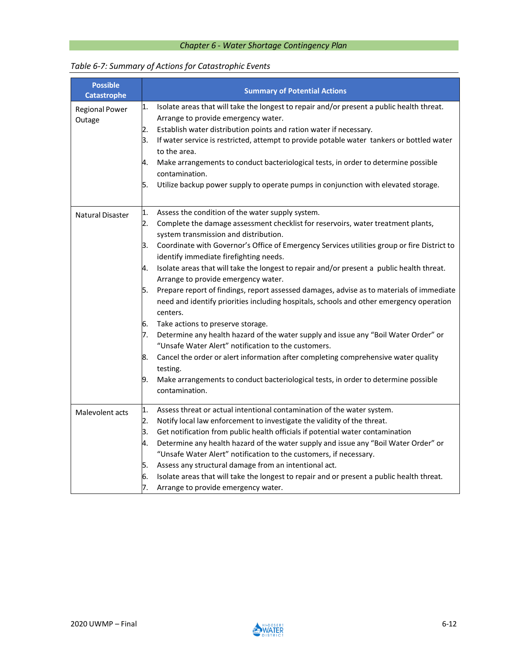| <b>Possible</b><br><b>Catastrophe</b> | <b>Summary of Potential Actions</b>                                                                                                                                                                   |  |  |  |  |  |  |
|---------------------------------------|-------------------------------------------------------------------------------------------------------------------------------------------------------------------------------------------------------|--|--|--|--|--|--|
| <b>Regional Power</b>                 | Isolate areas that will take the longest to repair and/or present a public health threat.<br>1.                                                                                                       |  |  |  |  |  |  |
| Outage                                | Arrange to provide emergency water.                                                                                                                                                                   |  |  |  |  |  |  |
|                                       | Establish water distribution points and ration water if necessary.<br>2.                                                                                                                              |  |  |  |  |  |  |
|                                       | 3.<br>If water service is restricted, attempt to provide potable water tankers or bottled water                                                                                                       |  |  |  |  |  |  |
|                                       | to the area.                                                                                                                                                                                          |  |  |  |  |  |  |
|                                       | Make arrangements to conduct bacteriological tests, in order to determine possible<br>4.<br>contamination.                                                                                            |  |  |  |  |  |  |
|                                       | Utilize backup power supply to operate pumps in conjunction with elevated storage.<br>5.                                                                                                              |  |  |  |  |  |  |
| Natural Disaster                      | Assess the condition of the water supply system.<br>1.                                                                                                                                                |  |  |  |  |  |  |
|                                       | 2.<br>Complete the damage assessment checklist for reservoirs, water treatment plants,<br>system transmission and distribution.                                                                       |  |  |  |  |  |  |
|                                       | Coordinate with Governor's Office of Emergency Services utilities group or fire District to<br>З.<br>identify immediate firefighting needs.                                                           |  |  |  |  |  |  |
|                                       | Isolate areas that will take the longest to repair and/or present a public health threat.<br>4.                                                                                                       |  |  |  |  |  |  |
|                                       | Arrange to provide emergency water.                                                                                                                                                                   |  |  |  |  |  |  |
|                                       | Prepare report of findings, report assessed damages, advise as to materials of immediate<br>5.<br>need and identify priorities including hospitals, schools and other emergency operation<br>centers. |  |  |  |  |  |  |
|                                       | Take actions to preserve storage.<br>6.                                                                                                                                                               |  |  |  |  |  |  |
|                                       | 7.<br>Determine any health hazard of the water supply and issue any "Boil Water Order" or<br>"Unsafe Water Alert" notification to the customers.                                                      |  |  |  |  |  |  |
|                                       | Cancel the order or alert information after completing comprehensive water quality<br>8.<br>testing.                                                                                                  |  |  |  |  |  |  |
|                                       | Make arrangements to conduct bacteriological tests, in order to determine possible<br>19.<br>contamination.                                                                                           |  |  |  |  |  |  |
| Malevolent acts                       | Assess threat or actual intentional contamination of the water system.<br>1.                                                                                                                          |  |  |  |  |  |  |
|                                       | 2.<br>Notify local law enforcement to investigate the validity of the threat.                                                                                                                         |  |  |  |  |  |  |
|                                       | Get notification from public health officials if potential water contamination<br>3.                                                                                                                  |  |  |  |  |  |  |
|                                       | Determine any health hazard of the water supply and issue any "Boil Water Order" or<br>4.                                                                                                             |  |  |  |  |  |  |
|                                       | "Unsafe Water Alert" notification to the customers, if necessary.                                                                                                                                     |  |  |  |  |  |  |
|                                       | Assess any structural damage from an intentional act.<br>5.                                                                                                                                           |  |  |  |  |  |  |
|                                       | Isolate areas that will take the longest to repair and or present a public health threat.<br>6.                                                                                                       |  |  |  |  |  |  |
|                                       | 7.<br>Arrange to provide emergency water.                                                                                                                                                             |  |  |  |  |  |  |

## *Table 6-7: Summary of Actions for Catastrophic Events*

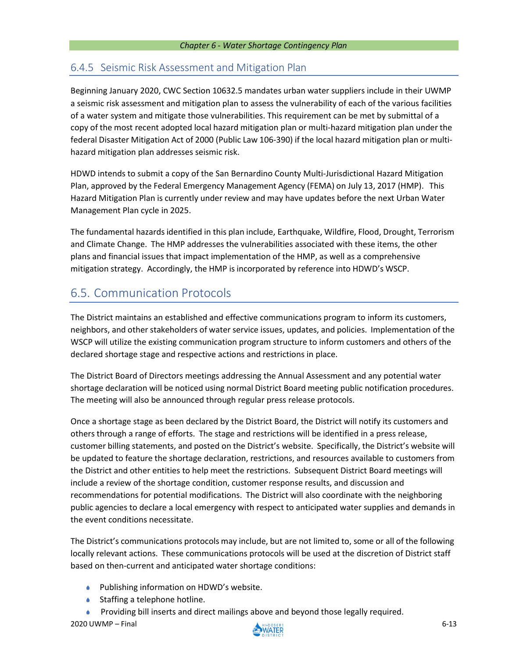## 6.4.5 Seismic Risk Assessment and Mitigation Plan

Beginning January 2020, CWC Section 10632.5 mandates urban water suppliers include in their UWMP a seismic risk assessment and mitigation plan to assess the vulnerability of each of the various facilities of a water system and mitigate those vulnerabilities. This requirement can be met by submittal of a copy of the most recent adopted local hazard mitigation plan or multi-hazard mitigation plan under the federal Disaster Mitigation Act of 2000 (Public Law 106-390) if the local hazard mitigation plan or multihazard mitigation plan addresses seismic risk.

HDWD intends to submit a copy of the San Bernardino County Multi-Jurisdictional Hazard Mitigation Plan, approved by the Federal Emergency Management Agency (FEMA) on July 13, 2017 (HMP). This Hazard Mitigation Plan is currently under review and may have updates before the next Urban Water Management Plan cycle in 2025.

The fundamental hazards identified in this plan include, Earthquake, Wildfire, Flood, Drought, Terrorism and Climate Change. The HMP addresses the vulnerabilities associated with these items, the other plans and financial issues that impact implementation of the HMP, as well as a comprehensive mitigation strategy. Accordingly, the HMP is incorporated by reference into HDWD's WSCP.

# 6.5. Communication Protocols

The District maintains an established and effective communications program to inform its customers, neighbors, and other stakeholders of water service issues, updates, and policies. Implementation of the WSCP will utilize the existing communication program structure to inform customers and others of the declared shortage stage and respective actions and restrictions in place.

The District Board of Directors meetings addressing the Annual Assessment and any potential water shortage declaration will be noticed using normal District Board meeting public notification procedures. The meeting will also be announced through regular press release protocols.

Once a shortage stage as been declared by the District Board, the District will notify its customers and others through a range of efforts. The stage and restrictions will be identified in a press release, customer billing statements, and posted on the District's website. Specifically, the District's website will be updated to feature the shortage declaration, restrictions, and resources available to customers from the District and other entities to help meet the restrictions. Subsequent District Board meetings will include a review of the shortage condition, customer response results, and discussion and recommendations for potential modifications. The District will also coordinate with the neighboring public agencies to declare a local emergency with respect to anticipated water supplies and demands in the event conditions necessitate.

The District's communications protocols may include, but are not limited to, some or all of the following locally relevant actions. These communications protocols will be used at the discretion of District staff based on then-current and anticipated water shortage conditions:

- ◆ Publishing information on HDWD's website.
- **◆** Staffing a telephone hotline.
- Providing bill inserts and direct mailings above and beyond those legally required.

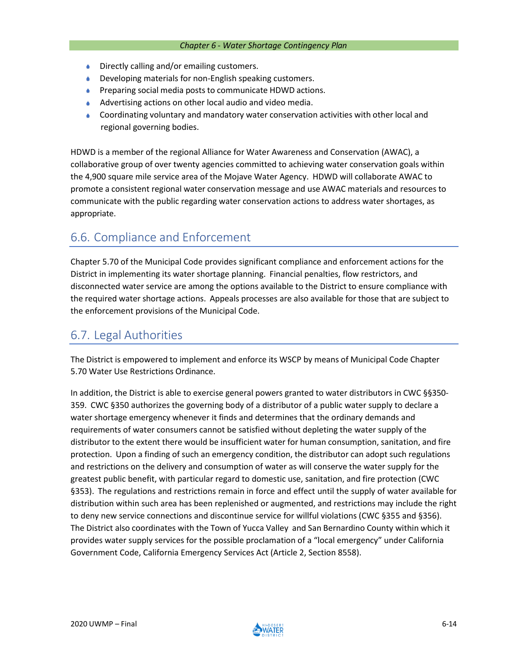- Directly calling and/or emailing customers.  $\bullet$
- Developing materials for non-English speaking customers.
- **Preparing social media posts to communicate HDWD actions.**
- Advertising actions on other local audio and video media.
- Coordinating voluntary and mandatory water conservation activities with other local and regional governing bodies.

HDWD is a member of the regional Alliance for Water Awareness and Conservation (AWAC), a collaborative group of over twenty agencies committed to achieving water conservation goals within the 4,900 square mile service area of the Mojave Water Agency. HDWD will collaborate AWAC to promote a consistent regional water conservation message and use AWAC materials and resources to communicate with the public regarding water conservation actions to address water shortages, as appropriate.

## 6.6. Compliance and Enforcement

Chapter 5.70 of the Municipal Code provides significant compliance and enforcement actions for the District in implementing its water shortage planning. Financial penalties, flow restrictors, and disconnected water service are among the options available to the District to ensure compliance with the required water shortage actions. Appeals processes are also available for those that are subject to the enforcement provisions of the Municipal Code.

## 6.7. Legal Authorities

The District is empowered to implement and enforce its WSCP by means of Municipal Code Chapter 5.70 Water Use Restrictions Ordinance.

In addition, the District is able to exercise general powers granted to water distributors in CWC §§350- 359. CWC §350 authorizes the governing body of a distributor of a public water supply to declare a water shortage emergency whenever it finds and determines that the ordinary demands and requirements of water consumers cannot be satisfied without depleting the water supply of the distributor to the extent there would be insufficient water for human consumption, sanitation, and fire protection. Upon a finding of such an emergency condition, the distributor can adopt such regulations and restrictions on the delivery and consumption of water as will conserve the water supply for the greatest public benefit, with particular regard to domestic use, sanitation, and fire protection (CWC §353). The regulations and restrictions remain in force and effect until the supply of water available for distribution within such area has been replenished or augmented, and restrictions may include the right to deny new service connections and discontinue service for willful violations (CWC §355 and §356). The District also coordinates with the Town of Yucca Valley and San Bernardino County within which it provides water supply services for the possible proclamation of a "local emergency" under California Government Code, California Emergency Services Act (Article 2, Section 8558).

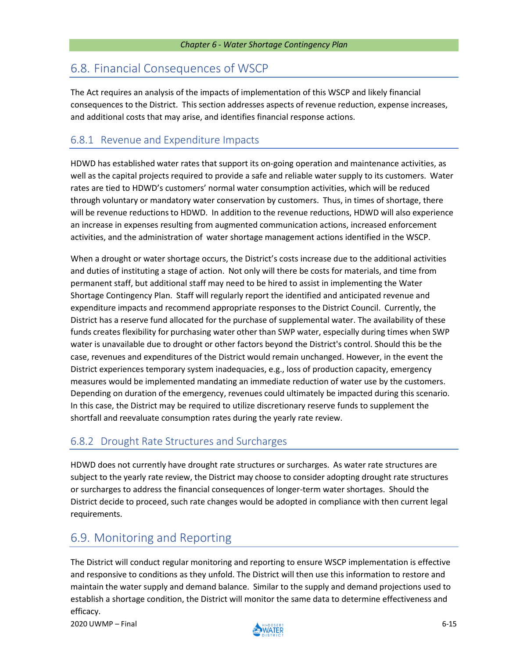# 6.8. Financial Consequences of WSCP

The Act requires an analysis of the impacts of implementation of this WSCP and likely financial consequences to the District. This section addresses aspects of revenue reduction, expense increases, and additional costs that may arise, and identifies financial response actions.

## 6.8.1 Revenue and Expenditure Impacts

HDWD has established water rates that support its on-going operation and maintenance activities, as well as the capital projects required to provide a safe and reliable water supply to its customers. Water rates are tied to HDWD's customers' normal water consumption activities, which will be reduced through voluntary or mandatory water conservation by customers. Thus, in times of shortage, there will be revenue reductions to HDWD. In addition to the revenue reductions, HDWD will also experience an increase in expenses resulting from augmented communication actions, increased enforcement activities, and the administration of water shortage management actions identified in the WSCP.

When a drought or water shortage occurs, the District's costs increase due to the additional activities and duties of instituting a stage of action. Not only will there be costs for materials, and time from permanent staff, but additional staff may need to be hired to assist in implementing the Water Shortage Contingency Plan. Staff will regularly report the identified and anticipated revenue and expenditure impacts and recommend appropriate responses to the District Council. Currently, the District has a reserve fund allocated for the purchase of supplemental water. The availability of these funds creates flexibility for purchasing water other than SWP water, especially during times when SWP water is unavailable due to drought or other factors beyond the District's control. Should this be the case, revenues and expenditures of the District would remain unchanged. However, in the event the District experiences temporary system inadequacies, e.g., loss of production capacity, emergency measures would be implemented mandating an immediate reduction of water use by the customers. Depending on duration of the emergency, revenues could ultimately be impacted during this scenario. In this case, the District may be required to utilize discretionary reserve funds to supplement the shortfall and reevaluate consumption rates during the yearly rate review.

## 6.8.2 Drought Rate Structures and Surcharges

HDWD does not currently have drought rate structures or surcharges. As water rate structures are subject to the yearly rate review, the District may choose to consider adopting drought rate structures or surcharges to address the financial consequences of longer-term water shortages. Should the District decide to proceed, such rate changes would be adopted in compliance with then current legal requirements.

# 6.9. Monitoring and Reporting

The District will conduct regular monitoring and reporting to ensure WSCP implementation is effective and responsive to conditions as they unfold. The District will then use this information to restore and maintain the water supply and demand balance. Similar to the supply and demand projections used to establish a shortage condition, the District will monitor the same data to determine effectiveness and efficacy.

2020 UWMP – Final 6-15

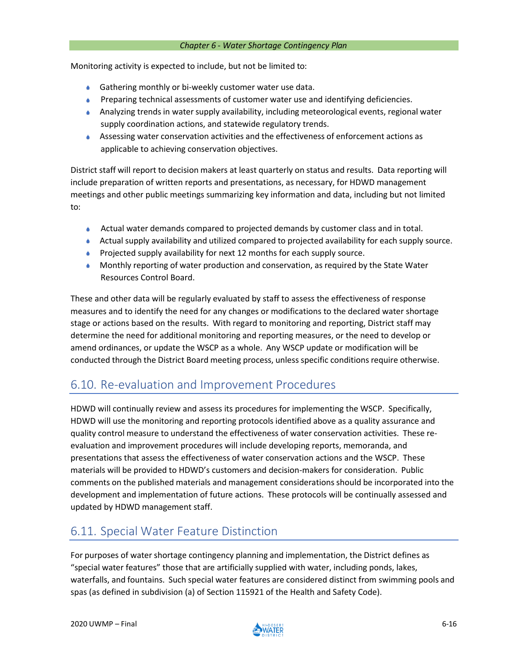Monitoring activity is expected to include, but not be limited to:

- **Gathering monthly or bi-weekly customer water use data.**
- A. Preparing technical assessments of customer water use and identifying deficiencies.
- Analyzing trends in water supply availability, including meteorological events, regional water supply coordination actions, and statewide regulatory trends.
- Assessing water conservation activities and the effectiveness of enforcement actions as applicable to achieving conservation objectives.

District staff will report to decision makers at least quarterly on status and results. Data reporting will include preparation of written reports and presentations, as necessary, for HDWD management meetings and other public meetings summarizing key information and data, including but not limited to:

- Actual water demands compared to projected demands by customer class and in total. A.
- Actual supply availability and utilized compared to projected availability for each supply source.
- **Projected supply availability for next 12 months for each supply source.**
- Monthly reporting of water production and conservation, as required by the State Water Resources Control Board.

These and other data will be regularly evaluated by staff to assess the effectiveness of response measures and to identify the need for any changes or modifications to the declared water shortage stage or actions based on the results. With regard to monitoring and reporting, District staff may determine the need for additional monitoring and reporting measures, or the need to develop or amend ordinances, or update the WSCP as a whole. Any WSCP update or modification will be conducted through the District Board meeting process, unless specific conditions require otherwise.

# 6.10. Re-evaluation and Improvement Procedures

HDWD will continually review and assess its procedures for implementing the WSCP. Specifically, HDWD will use the monitoring and reporting protocols identified above as a quality assurance and quality control measure to understand the effectiveness of water conservation activities. These reevaluation and improvement procedures will include developing reports, memoranda, and presentations that assess the effectiveness of water conservation actions and the WSCP. These materials will be provided to HDWD's customers and decision-makers for consideration. Public comments on the published materials and management considerations should be incorporated into the development and implementation of future actions. These protocols will be continually assessed and updated by HDWD management staff.

# 6.11. Special Water Feature Distinction

For purposes of water shortage contingency planning and implementation, the District defines as "special water features" those that are artificially supplied with water, including ponds, lakes, waterfalls, and fountains. Such special water features are considered distinct from swimming pools and spas (as defined in subdivision (a) of Section 115921 of the Health and Safety Code).

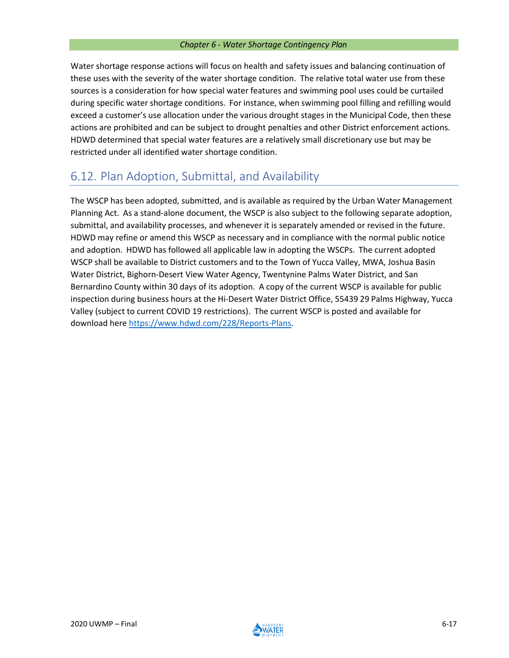Water shortage response actions will focus on health and safety issues and balancing continuation of these uses with the severity of the water shortage condition. The relative total water use from these sources is a consideration for how special water features and swimming pool uses could be curtailed during specific water shortage conditions. For instance, when swimming pool filling and refilling would exceed a customer's use allocation under the various drought stages in the Municipal Code, then these actions are prohibited and can be subject to drought penalties and other District enforcement actions. HDWD determined that special water features are a relatively small discretionary use but may be restricted under all identified water shortage condition.

# 6.12. Plan Adoption, Submittal, and Availability

The WSCP has been adopted, submitted, and is available as required by the Urban Water Management Planning Act. As a stand-alone document, the WSCP is also subject to the following separate adoption, submittal, and availability processes, and whenever it is separately amended or revised in the future. HDWD may refine or amend this WSCP as necessary and in compliance with the normal public notice and adoption. HDWD has followed all applicable law in adopting the WSCPs. The current adopted WSCP shall be available to District customers and to the Town of Yucca Valley, MWA, Joshua Basin Water District, Bighorn-Desert View Water Agency, Twentynine Palms Water District, and San Bernardino County within 30 days of its adoption. A copy of the current WSCP is available for public inspection during business hours at the Hi-Desert Water District Office, 55439 29 Palms Highway, Yucca Valley (subject to current COVID 19 restrictions). The current WSCP is posted and available for download here [https://www.hdwd.com/228/Reports-Plans.](https://www.hdwd.com/228/Reports-Plans)

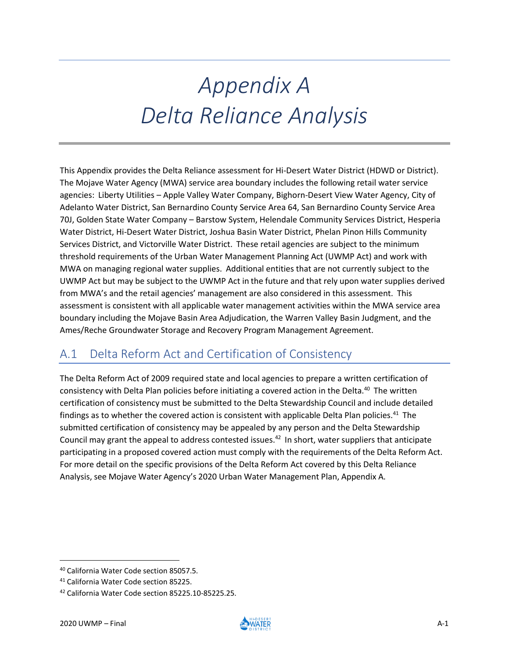# *Appendix A Delta Reliance Analysis*

This Appendix provides the Delta Reliance assessment for Hi-Desert Water District (HDWD or District). The Mojave Water Agency (MWA) service area boundary includes the following retail water service agencies: Liberty Utilities – Apple Valley Water Company, Bighorn-Desert View Water Agency, City of Adelanto Water District, San Bernardino County Service Area 64, San Bernardino County Service Area 70J, Golden State Water Company – Barstow System, Helendale Community Services District, Hesperia Water District, Hi-Desert Water District, Joshua Basin Water District, Phelan Pinon Hills Community Services District, and Victorville Water District. These retail agencies are subject to the minimum threshold requirements of the Urban Water Management Planning Act (UWMP Act) and work with MWA on managing regional water supplies. Additional entities that are not currently subject to the UWMP Act but may be subject to the UWMP Act in the future and that rely upon water supplies derived from MWA's and the retail agencies' management are also considered in this assessment. This assessment is consistent with all applicable water management activities within the MWA service area boundary including the Mojave Basin Area Adjudication, the Warren Valley Basin Judgment, and the Ames/Reche Groundwater Storage and Recovery Program Management Agreement.

# A.1 Delta Reform Act and Certification of Consistency

The Delta Reform Act of 2009 required state and local agencies to prepare a written certification of consistency with Delta Plan policies before initiating a covered action in the Delta.<sup>40</sup> The written certification of consistency must be submitted to the Delta Stewardship Council and include detailed findings as to whether the covered action is consistent with applicable Delta Plan policies.<sup>41</sup> The submitted certification of consistency may be appealed by any person and the Delta Stewardship Council may grant the appeal to address contested issues.<sup>42</sup> In short, water suppliers that anticipate participating in a proposed covered action must comply with the requirements of the Delta Reform Act. For more detail on the specific provisions of the Delta Reform Act covered by this Delta Reliance Analysis, see Mojave Water Agency's 2020 Urban Water Management Plan, Appendix A.



<sup>40</sup> California Water Code section 85057.5.

<sup>41</sup> California Water Code section 85225.

<sup>42</sup> California Water Code section 85225.10-85225.25.